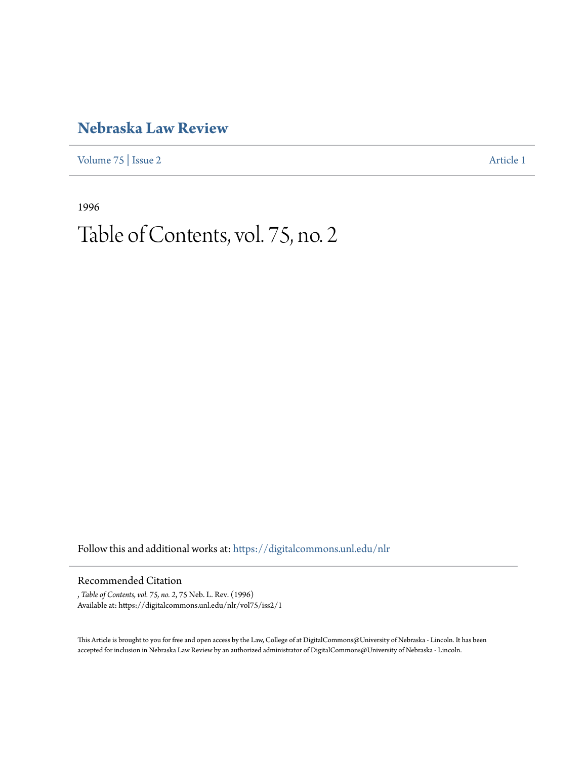## **[Nebraska Law Review](https://digitalcommons.unl.edu/nlr?utm_source=digitalcommons.unl.edu%2Fnlr%2Fvol75%2Fiss2%2F1&utm_medium=PDF&utm_campaign=PDFCoverPages)**

[Volume 75](https://digitalcommons.unl.edu/nlr/vol75?utm_source=digitalcommons.unl.edu%2Fnlr%2Fvol75%2Fiss2%2F1&utm_medium=PDF&utm_campaign=PDFCoverPages) | [Issue 2](https://digitalcommons.unl.edu/nlr/vol75/iss2?utm_source=digitalcommons.unl.edu%2Fnlr%2Fvol75%2Fiss2%2F1&utm_medium=PDF&utm_campaign=PDFCoverPages) [Article 1](https://digitalcommons.unl.edu/nlr/vol75/iss2/1?utm_source=digitalcommons.unl.edu%2Fnlr%2Fvol75%2Fiss2%2F1&utm_medium=PDF&utm_campaign=PDFCoverPages)

1996

## Table of Contents, vol. 75, no. 2

Follow this and additional works at: [https://digitalcommons.unl.edu/nlr](https://digitalcommons.unl.edu/nlr?utm_source=digitalcommons.unl.edu%2Fnlr%2Fvol75%2Fiss2%2F1&utm_medium=PDF&utm_campaign=PDFCoverPages)

## Recommended Citation

, *Table of Contents, vol. 75, no. 2*, 75 Neb. L. Rev. (1996) Available at: https://digitalcommons.unl.edu/nlr/vol75/iss2/1

This Article is brought to you for free and open access by the Law, College of at DigitalCommons@University of Nebraska - Lincoln. It has been accepted for inclusion in Nebraska Law Review by an authorized administrator of DigitalCommons@University of Nebraska - Lincoln.